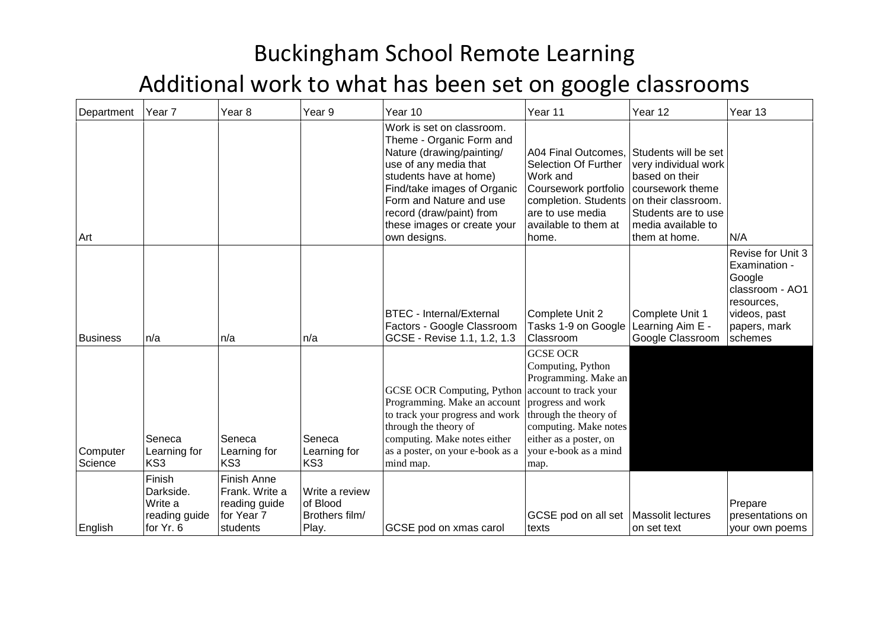| Department          | Year 7                                                       | Year 8                                                                          | Year <sub>9</sub>                                     | Year 10                                                                                                                                                                                                                                                                    | Year 11                                                                                                                                                                                        | Year 12                                                                                                                                                                 | Year 13                                                                                                                  |
|---------------------|--------------------------------------------------------------|---------------------------------------------------------------------------------|-------------------------------------------------------|----------------------------------------------------------------------------------------------------------------------------------------------------------------------------------------------------------------------------------------------------------------------------|------------------------------------------------------------------------------------------------------------------------------------------------------------------------------------------------|-------------------------------------------------------------------------------------------------------------------------------------------------------------------------|--------------------------------------------------------------------------------------------------------------------------|
| Art                 |                                                              |                                                                                 |                                                       | Work is set on classroom.<br>Theme - Organic Form and<br>Nature (drawing/painting/<br>use of any media that<br>students have at home)<br>Find/take images of Organic<br>Form and Nature and use<br>record (draw/paint) from<br>these images or create your<br>own designs. | A04 Final Outcomes,<br>Selection Of Further<br>Work and<br>Coursework portfolio<br>completion. Students<br>are to use media<br>available to them at<br>home.                                   | Students will be set<br>very individual work<br>based on their<br>coursework theme<br>on their classroom.<br>Students are to use<br>media available to<br>them at home. | N/A                                                                                                                      |
| Business            | n/a                                                          | n/a                                                                             | n/a                                                   | <b>BTEC</b> - Internal/External<br>Factors - Google Classroom<br>GCSE - Revise 1.1, 1.2, 1.3                                                                                                                                                                               | Complete Unit 2<br>Tasks 1-9 on Google<br>Classroom                                                                                                                                            | Complete Unit 1<br>Learning Aim E -<br>Google Classroom                                                                                                                 | Revise for Unit 3<br>Examination -<br>Google<br>classroom - AO1<br>resources,<br>videos, past<br>papers, mark<br>schemes |
| Computer<br>Science | Seneca<br>Learning for<br>KS3                                | Seneca<br>Learning for<br>KS3                                                   | Seneca<br>Learning for<br>KS3                         | GCSE OCR Computing, Python account to track your<br>Programming. Make an account<br>to track your progress and work<br>through the theory of<br>computing. Make notes either<br>as a poster, on your e-book as a<br>mind map.                                              | <b>GCSE OCR</b><br>Computing, Python<br>Programming. Make an<br>progress and work<br>through the theory of<br>computing. Make notes<br>either as a poster, on<br>your e-book as a mind<br>map. |                                                                                                                                                                         |                                                                                                                          |
| English             | Finish<br>Darkside.<br>Write a<br>reading guide<br>for Yr. 6 | <b>Finish Anne</b><br>Frank. Write a<br>reading guide<br>for Year 7<br>students | Write a review<br>of Blood<br>Brothers film/<br>Play. | GCSE pod on xmas carol                                                                                                                                                                                                                                                     | GCSE pod on all set   Massolit lectures<br>texts                                                                                                                                               | on set text                                                                                                                                                             | Prepare<br>presentations on<br>your own poems                                                                            |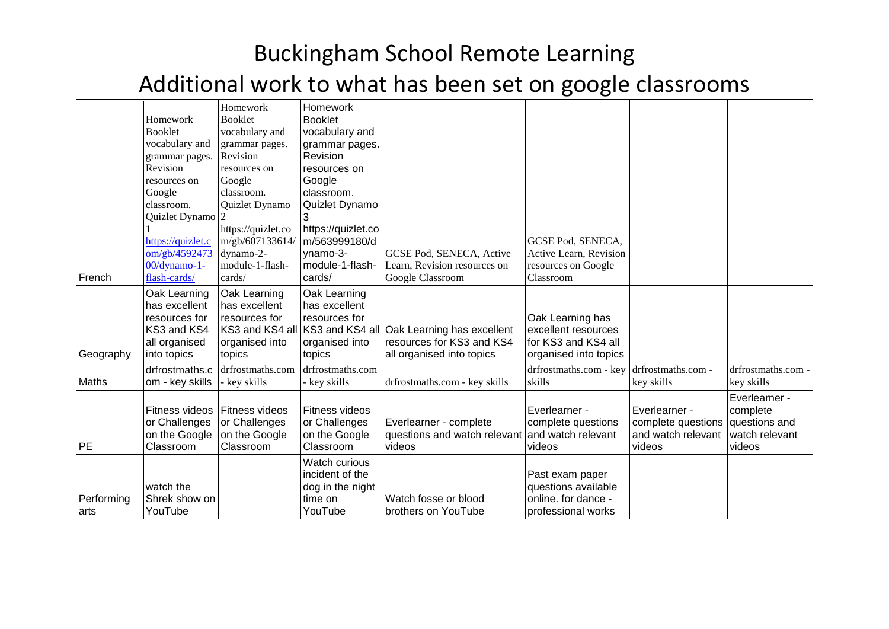|                     | Homework<br><b>Booklet</b><br>vocabulary and<br>grammar pages.                                | Homework<br><b>Booklet</b><br>vocabulary and<br>grammar pages.<br>Revision      | Homework<br><b>Booklet</b><br>vocabulary and<br>grammar pages.<br>Revision   |                                                                                                                      |                                                                                         |                                                                     |                                                                        |
|---------------------|-----------------------------------------------------------------------------------------------|---------------------------------------------------------------------------------|------------------------------------------------------------------------------|----------------------------------------------------------------------------------------------------------------------|-----------------------------------------------------------------------------------------|---------------------------------------------------------------------|------------------------------------------------------------------------|
|                     | Revision<br>resources on<br>Google<br>classroom.<br>Quizlet Dynamo                            | resources on<br>Google<br>classroom.<br>Quizlet Dynamo                          | resources on<br>Google<br>classroom.<br>Quizlet Dynamo                       |                                                                                                                      |                                                                                         |                                                                     |                                                                        |
| French              | https://quizlet.c<br>om/gb/4592473<br>00/dynamo-1-<br>flash-cards/                            | https://quizlet.co<br>m/gb/607133614/<br>dynamo-2-<br>module-1-flash-<br>cards/ | https://quizlet.co<br>m/563999180/d<br>ynamo-3-<br>module-1-flash-<br>cards/ | GCSE Pod, SENECA, Active<br>Learn, Revision resources on<br>Google Classroom                                         | GCSE Pod, SENECA,<br>Active Learn, Revision<br>resources on Google<br>Classroom         |                                                                     |                                                                        |
| Geography           | Oak Learning<br>has excellent<br>resources for<br>KS3 and KS4<br>all organised<br>into topics | Oak Learning<br>has excellent<br>resources for<br>organised into<br>topics      | Oak Learning<br>has excellent<br>resources for<br>organised into<br>topics   | KS3 and KS4 all KS3 and KS4 all Oak Learning has excellent<br>resources for KS3 and KS4<br>all organised into topics | Oak Learning has<br>excellent resources<br>for KS3 and KS4 all<br>organised into topics |                                                                     |                                                                        |
| Maths               | drfrostmaths.c<br>om - key skills                                                             | drfrostmaths.com<br>- key skills                                                | drfrostmaths.com<br>- key skills                                             | drfrostmaths.com - key skills                                                                                        | drfrostmaths.com - key<br>skills                                                        | drfrostmaths.com -<br>key skills                                    | drfrostmaths.com -<br>key skills                                       |
| <b>PE</b>           | Fitness videos<br>or Challenges<br>on the Google<br>Classroom                                 | Fitness videos<br>or Challenges<br>on the Google<br>Classroom                   | Fitness videos<br>or Challenges<br>on the Google<br>Classroom                | Everlearner - complete<br>questions and watch relevant<br>videos                                                     | Everlearner -<br>complete questions<br>and watch relevant<br>videos                     | Everlearner -<br>complete questions<br>and watch relevant<br>videos | Everlearner -<br>complete<br>questions and<br>watch relevant<br>videos |
| Performing<br>larts | watch the<br>Shrek show on<br>YouTube                                                         |                                                                                 | Watch curious<br>incident of the<br>dog in the night<br>time on<br>YouTube   | Watch fosse or blood<br>brothers on YouTube                                                                          | Past exam paper<br>questions available<br>online. for dance -<br>professional works     |                                                                     |                                                                        |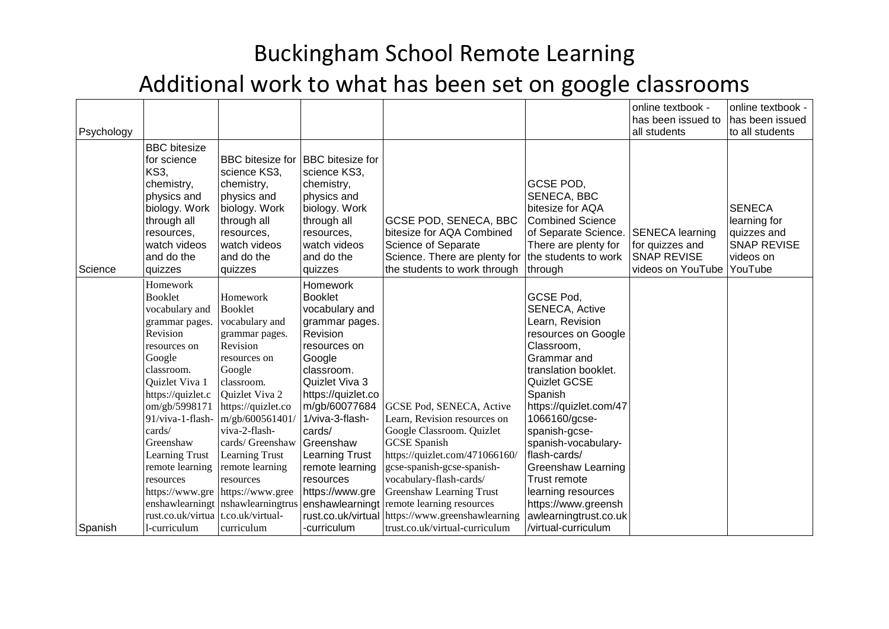| Psychology |                                                                                                                                                                                                                                                                                                                 |                                                                                                                                                                                                                                                                                                                                                   |                                                                                                                                                                                                                                                                                                               |                                                                                                                                                                                                                                                                                                                             |                                                                                                                                                                                                                                                                                                                                                                                    | online textbook -<br>has been issued to<br>all students                              | online textbook -<br>has been issued<br>to all students                                    |
|------------|-----------------------------------------------------------------------------------------------------------------------------------------------------------------------------------------------------------------------------------------------------------------------------------------------------------------|---------------------------------------------------------------------------------------------------------------------------------------------------------------------------------------------------------------------------------------------------------------------------------------------------------------------------------------------------|---------------------------------------------------------------------------------------------------------------------------------------------------------------------------------------------------------------------------------------------------------------------------------------------------------------|-----------------------------------------------------------------------------------------------------------------------------------------------------------------------------------------------------------------------------------------------------------------------------------------------------------------------------|------------------------------------------------------------------------------------------------------------------------------------------------------------------------------------------------------------------------------------------------------------------------------------------------------------------------------------------------------------------------------------|--------------------------------------------------------------------------------------|--------------------------------------------------------------------------------------------|
| Science    | <b>BBC</b> bitesize<br>for science<br><b>KS3,</b><br>chemistry,<br>physics and<br>biology. Work<br>through all<br>resources,<br>watch videos<br>and do the<br>quizzes                                                                                                                                           | <b>BBC</b> bitesize for<br>science KS3,<br>chemistry,<br>physics and<br>biology. Work<br>through all<br>resources,<br>watch videos<br>and do the<br>quizzes                                                                                                                                                                                       | <b>BBC</b> bitesize for<br>science KS3,<br>chemistry,<br>physics and<br>biology. Work<br>through all<br>resources,<br>watch videos<br>and do the<br>quizzes                                                                                                                                                   | <b>GCSE POD, SENECA, BBC</b><br>bitesize for AQA Combined<br>Science of Separate<br>Science. There are plenty for<br>the students to work through                                                                                                                                                                           | GCSE POD,<br>SENECA, BBC<br>bitesize for AQA<br><b>Combined Science</b><br>of Separate Science.<br>There are plenty for<br>the students to work<br>through                                                                                                                                                                                                                         | <b>SENECA learning</b><br>for quizzes and<br><b>SNAP REVISE</b><br>videos on YouTube | <b>SENECA</b><br>learning for<br>quizzes and<br><b>SNAP REVISE</b><br>videos on<br>YouTube |
|            | Homework<br><b>Booklet</b><br>vocabulary and<br>grammar pages.<br>Revision<br>resources on<br>Google<br>classroom.<br>Quizlet Viva 1<br>https://quizlet.c<br>om/gb/5998171<br>91/viva-1-flash-<br>cards/<br>Greenshaw<br>Learning Trust<br>remote learning<br>resources<br>enshawlearningt<br>rust.co.uk/virtua | Homework<br><b>Booklet</b><br>vocabulary and<br>grammar pages.<br>Revision<br>resources on<br>Google<br>classroom.<br>Quizlet Viva 2<br>https://quizlet.co<br>m/gb/600561401/<br>viva-2-flash-<br>cards/ Greenshaw<br>Learning Trust<br>remote learning<br>resources<br>https://www.gre https://www.gree<br>nshawlearningtrus<br>t.co.uk/virtual- | Homework<br><b>Booklet</b><br>vocabulary and<br>grammar pages.<br>Revision<br>resources on<br>Google<br>classroom.<br>Quizlet Viva 3<br>https://quizlet.co<br>m/gb/60077684<br>1/viva-3-flash-<br>cards/<br>Greenshaw<br>Learning Trust<br>remote learning<br>resources<br>https://www.gre<br>enshawlearningt | GCSE Pod, SENECA, Active<br>Learn, Revision resources on<br>Google Classroom. Quizlet<br><b>GCSE</b> Spanish<br>https://quizlet.com/471066160/<br>gcse-spanish-gcse-spanish-<br>vocabulary-flash-cards/<br><b>Greenshaw Learning Trust</b><br>remote learning resources<br>rust.co.uk/virtual https://www.greenshawlearning | GCSE Pod,<br><b>SENECA, Active</b><br>Learn, Revision<br>resources on Google<br>Classroom,<br>Grammar and<br>translation booklet.<br>Quizlet GCSE<br>Spanish<br>https://quizlet.com/47<br>1066160/gcse-<br>spanish-gcse-<br>spanish-vocabulary-<br>flash-cards/<br><b>Greenshaw Learning</b><br>Trust remote<br>learning resources<br>https://www.greensh<br>awlearningtrust.co.uk |                                                                                      |                                                                                            |
| Spanish    | l-curriculum                                                                                                                                                                                                                                                                                                    | curriculum                                                                                                                                                                                                                                                                                                                                        | -curriculum                                                                                                                                                                                                                                                                                                   | trust.co.uk/virtual-curriculum                                                                                                                                                                                                                                                                                              | /virtual-curriculum                                                                                                                                                                                                                                                                                                                                                                |                                                                                      |                                                                                            |